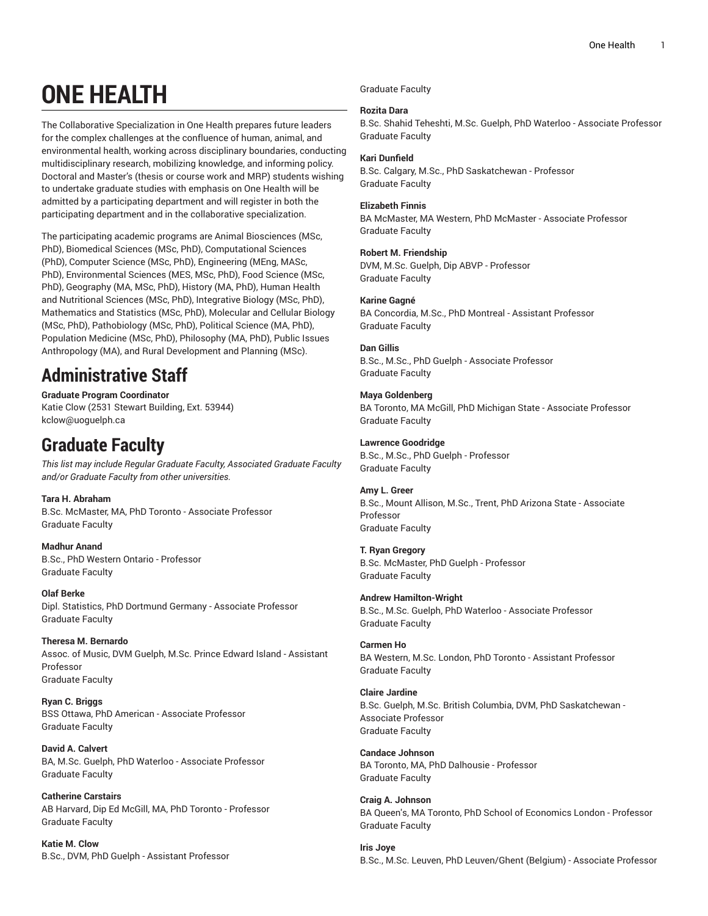# **ONE HEALTH**

The Collaborative Specialization in One Health prepares future leaders for the complex challenges at the confluence of human, animal, and environmental health, working across disciplinary boundaries, conducting multidisciplinary research, mobilizing knowledge, and informing policy. Doctoral and Master's (thesis or course work and MRP) students wishing to undertake graduate studies with emphasis on One Health will be admitted by a participating department and will register in both the participating department and in the collaborative specialization.

The participating academic programs are Animal Biosciences (MSc, PhD), Biomedical Sciences (MSc, PhD), Computational Sciences (PhD), Computer Science (MSc, PhD), Engineering (MEng, MASc, PhD), Environmental Sciences (MES, MSc, PhD), Food Science (MSc, PhD), Geography (MA, MSc, PhD), History (MA, PhD), Human Health and Nutritional Sciences (MSc, PhD), Integrative Biology (MSc, PhD), Mathematics and Statistics (MSc, PhD), Molecular and Cellular Biology (MSc, PhD), Pathobiology (MSc, PhD), Political Science (MA, PhD), Population Medicine (MSc, PhD), Philosophy (MA, PhD), Public Issues Anthropology (MA), and Rural Development and Planning (MSc).

## **Administrative Staff**

**Graduate Program Coordinator** Katie Clow (2531 Stewart Building, Ext. 53944) [kclow@uoguelph.ca](c�8+�q���
��k-���Kt�)

## **Graduate Faculty**

*This list may include Regular Graduate Faculty, Associated Graduate Faculty and/or Graduate Faculty from other universities.*

**Tara H. Abraham** B.Sc. McMaster, MA, PhD Toronto - Associate Professor Graduate Faculty

**Madhur Anand** B.Sc., PhD Western Ontario - Professor Graduate Faculty

**Olaf Berke** Dipl. Statistics, PhD Dortmund Germany - Associate Professor Graduate Faculty

**Theresa M. Bernardo** Assoc. of Music, DVM Guelph, M.Sc. Prince Edward Island - Assistant Professor Graduate Faculty

**Ryan C. Briggs** BSS Ottawa, PhD American - Associate Professor Graduate Faculty

**David A. Calvert** BA, M.Sc. Guelph, PhD Waterloo - Associate Professor Graduate Faculty

**Catherine Carstairs** AB Harvard, Dip Ed McGill, MA, PhD Toronto - Professor Graduate Faculty

**Katie M. Clow** B.Sc., DVM, PhD Guelph - Assistant Professor Graduate Faculty

## **Rozita Dara**

B.Sc. Shahid Teheshti, M.Sc. Guelph, PhD Waterloo - Associate Professor Graduate Faculty

## **Kari Dunfield**

B.Sc. Calgary, M.Sc., PhD Saskatchewan - Professor Graduate Faculty

## **Elizabeth Finnis**

BA McMaster, MA Western, PhD McMaster - Associate Professor Graduate Faculty

## **Robert M. Friendship**

DVM, M.Sc. Guelph, Dip ABVP - Professor Graduate Faculty

## **Karine Gagné**

BA Concordia, M.Sc., PhD Montreal - Assistant Professor Graduate Faculty

## **Dan Gillis**

B.Sc., M.Sc., PhD Guelph - Associate Professor Graduate Faculty

## **Maya Goldenberg**

BA Toronto, MA McGill, PhD Michigan State - Associate Professor Graduate Faculty

## **Lawrence Goodridge**

B.Sc., M.Sc., PhD Guelph - Professor Graduate Faculty

## **Amy L. Greer**

B.Sc., Mount Allison, M.Sc., Trent, PhD Arizona State - Associate Professor Graduate Faculty

## **T. Ryan Gregory**

Graduate Faculty

B.Sc. McMaster, PhD Guelph - Professor Graduate Faculty

### **Andrew Hamilton-Wright** B.Sc., M.Sc. Guelph, PhD Waterloo - Associate Professor

**Carmen Ho** BA Western, M.Sc. London, PhD Toronto - Assistant Professor Graduate Faculty

## **Claire Jardine** B.Sc. Guelph, M.Sc. British Columbia, DVM, PhD Saskatchewan - Associate Professor Graduate Faculty

**Candace Johnson** BA Toronto, MA, PhD Dalhousie - Professor Graduate Faculty

**Craig A. Johnson** BA Queen's, MA Toronto, PhD School of Economics London - Professor Graduate Faculty

**Iris Joye** B.Sc., M.Sc. Leuven, PhD Leuven/Ghent (Belgium) - Associate Professor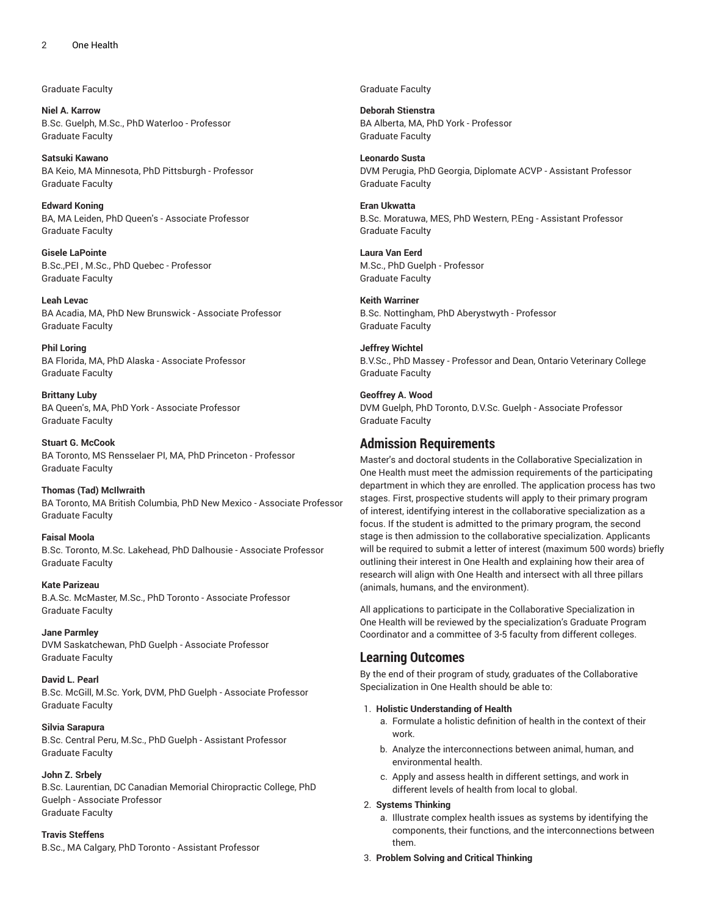Graduate Faculty

**Niel A. Karrow** B.Sc. Guelph, M.Sc., PhD Waterloo - Professor Graduate Faculty

**Satsuki Kawano** BA Keio, MA Minnesota, PhD Pittsburgh - Professor Graduate Faculty

**Edward Koning** BA, MA Leiden, PhD Queen's - Associate Professor Graduate Faculty

**Gisele LaPointe** B.Sc.,PEI , M.Sc., PhD Quebec - Professor Graduate Faculty

**Leah Levac** BA Acadia, MA, PhD New Brunswick - Associate Professor Graduate Faculty

**Phil Loring** BA Florida, MA, PhD Alaska - Associate Professor Graduate Faculty

**Brittany Luby** BA Queen's, MA, PhD York - Associate Professor Graduate Faculty

**Stuart G. McCook** BA Toronto, MS Rensselaer PI, MA, PhD Princeton - Professor Graduate Faculty

**Thomas (Tad) McIlwraith** BA Toronto, MA British Columbia, PhD New Mexico - Associate Professor Graduate Faculty

**Faisal Moola** B.Sc. Toronto, M.Sc. Lakehead, PhD Dalhousie - Associate Professor Graduate Faculty

**Kate Parizeau** B.A.Sc. McMaster, M.Sc., PhD Toronto - Associate Professor Graduate Faculty

**Jane Parmley** DVM Saskatchewan, PhD Guelph - Associate Professor Graduate Faculty

**David L. Pearl** B.Sc. McGill, M.Sc. York, DVM, PhD Guelph - Associate Professor Graduate Faculty

**Silvia Sarapura** B.Sc. Central Peru, M.Sc., PhD Guelph - Assistant Professor Graduate Faculty

## **John Z. Srbely**

B.Sc. Laurentian, DC Canadian Memorial Chiropractic College, PhD Guelph - Associate Professor Graduate Faculty

#### **Travis Steffens**

B.Sc., MA Calgary, PhD Toronto - Assistant Professor

Graduate Faculty

**Deborah Stienstra** BA Alberta, MA, PhD York - Professor Graduate Faculty

**Leonardo Susta** DVM Perugia, PhD Georgia, Diplomate ACVP - Assistant Professor Graduate Faculty

**Eran Ukwatta** B.Sc. Moratuwa, MES, PhD Western, P.Eng - Assistant Professor Graduate Faculty

**Laura Van Eerd** M.Sc., PhD Guelph - Professor Graduate Faculty

**Keith Warriner** B.Sc. Nottingham, PhD Aberystwyth - Professor Graduate Faculty

**Jeffrey Wichtel** B.V.Sc., PhD Massey - Professor and Dean, Ontario Veterinary College Graduate Faculty

**Geoffrey A. Wood** DVM Guelph, PhD Toronto, D.V.Sc. Guelph - Associate Professor Graduate Faculty

## **Admission Requirements**

Master's and doctoral students in the Collaborative Specialization in One Health must meet the admission requirements of the participating department in which they are enrolled. The application process has two stages. First, prospective students will apply to their primary program of interest, identifying interest in the collaborative specialization as a focus. If the student is admitted to the primary program, the second stage is then admission to the collaborative specialization. Applicants will be required to submit a letter of interest (maximum 500 words) briefly outlining their interest in One Health and explaining how their area of research will align with One Health and intersect with all three pillars (animals, humans, and the environment).

All applications to participate in the Collaborative Specialization in One Health will be reviewed by the specialization's Graduate Program Coordinator and a committee of 3-5 faculty from different colleges.

## **Learning Outcomes**

By the end of their program of study, graduates of the Collaborative Specialization in One Health should be able to:

#### 1. **Holistic Understanding of Health**

- a. Formulate a holistic definition of health in the context of their work.
- b. Analyze the interconnections between animal, human, and environmental health.
- c. Apply and assess health in different settings, and work in different levels of health from local to global.

## 2. **Systems Thinking**

- a. Illustrate complex health issues as systems by identifying the components, their functions, and the interconnections between them.
- 3. **Problem Solving and Critical Thinking**